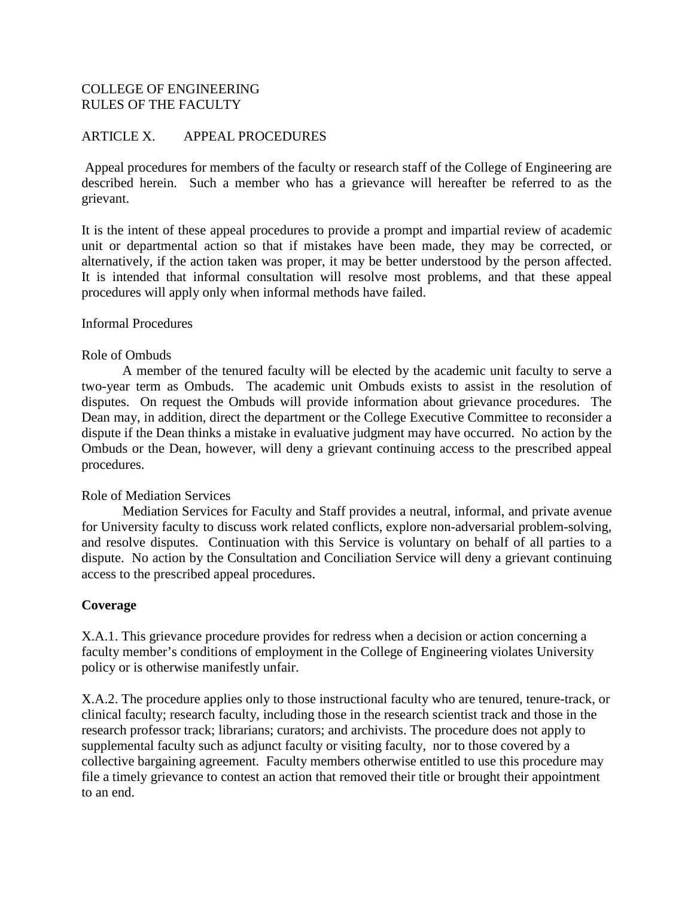## COLLEGE OF ENGINEERING RULES OF THE FACULTY

#### ARTICLE X. APPEAL PROCEDURES

Appeal procedures for members of the faculty or research staff of the College of Engineering are described herein. Such a member who has a grievance will hereafter be referred to as the grievant.

It is the intent of these appeal procedures to provide a prompt and impartial review of academic unit or departmental action so that if mistakes have been made, they may be corrected, or alternatively, if the action taken was proper, it may be better understood by the person affected. It is intended that informal consultation will resolve most problems, and that these appeal procedures will apply only when informal methods have failed.

#### Informal Procedures

#### Role of Ombuds

A member of the tenured faculty will be elected by the academic unit faculty to serve a two-year term as Ombuds. The academic unit Ombuds exists to assist in the resolution of disputes. On request the Ombuds will provide information about grievance procedures. The Dean may, in addition, direct the department or the College Executive Committee to reconsider a dispute if the Dean thinks a mistake in evaluative judgment may have occurred. No action by the Ombuds or the Dean, however, will deny a grievant continuing access to the prescribed appeal procedures.

#### Role of Mediation Services

Mediation Services for Faculty and Staff provides a neutral, informal, and private avenue for University faculty to discuss work related conflicts, explore non-adversarial problem-solving, and resolve disputes. Continuation with this Service is voluntary on behalf of all parties to a dispute. No action by the Consultation and Conciliation Service will deny a grievant continuing access to the prescribed appeal procedures.

#### **Coverage**

X.A.1. This grievance procedure provides for redress when a decision or action concerning a faculty member's conditions of employment in the College of Engineering violates University policy or is otherwise manifestly unfair.

X.A.2. The procedure applies only to those instructional faculty who are tenured, tenure-track, or clinical faculty; research faculty, including those in the research scientist track and those in the research professor track; librarians; curators; and archivists. The procedure does not apply to supplemental faculty such as adjunct faculty or visiting faculty, nor to those covered by a collective bargaining agreement. Faculty members otherwise entitled to use this procedure may file a timely grievance to contest an action that removed their title or brought their appointment to an end.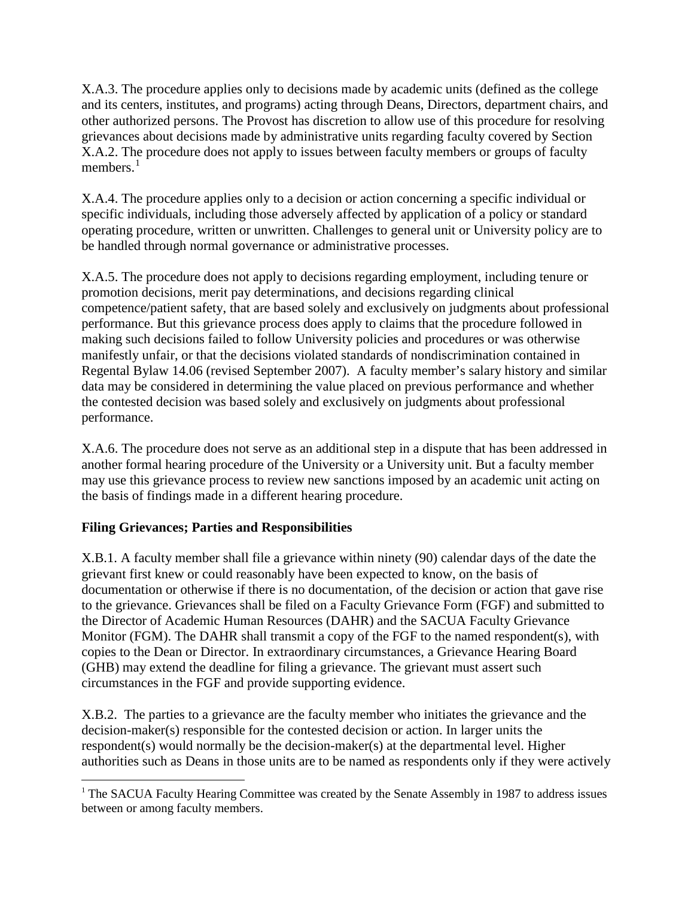X.A.3. The procedure applies only to decisions made by academic units (defined as the college and its centers, institutes, and programs) acting through Deans, Directors, department chairs, and other authorized persons. The Provost has discretion to allow use of this procedure for resolving grievances about decisions made by administrative units regarding faculty covered by Section X.A.2. The procedure does not apply to issues between faculty members or groups of faculty members $<sup>1</sup>$  $<sup>1</sup>$  $<sup>1</sup>$ </sup>

X.A.4. The procedure applies only to a decision or action concerning a specific individual or specific individuals, including those adversely affected by application of a policy or standard operating procedure, written or unwritten. Challenges to general unit or University policy are to be handled through normal governance or administrative processes.

X.A.5. The procedure does not apply to decisions regarding employment, including tenure or promotion decisions, merit pay determinations, and decisions regarding clinical competence/patient safety, that are based solely and exclusively on judgments about professional performance. But this grievance process does apply to claims that the procedure followed in making such decisions failed to follow University policies and procedures or was otherwise manifestly unfair, or that the decisions violated standards of nondiscrimination contained in Regental Bylaw 14.06 (revised September 2007). A faculty member's salary history and similar data may be considered in determining the value placed on previous performance and whether the contested decision was based solely and exclusively on judgments about professional performance.

X.A.6. The procedure does not serve as an additional step in a dispute that has been addressed in another formal hearing procedure of the University or a University unit. But a faculty member may use this grievance process to review new sanctions imposed by an academic unit acting on the basis of findings made in a different hearing procedure.

## **Filing Grievances; Parties and Responsibilities**

X.B.1. A faculty member shall file a grievance within ninety (90) calendar days of the date the grievant first knew or could reasonably have been expected to know, on the basis of documentation or otherwise if there is no documentation, of the decision or action that gave rise to the grievance. Grievances shall be filed on a Faculty Grievance Form (FGF) and submitted to the Director of Academic Human Resources (DAHR) and the SACUA Faculty Grievance Monitor (FGM). The DAHR shall transmit a copy of the FGF to the named respondent(s), with copies to the Dean or Director. In extraordinary circumstances, a Grievance Hearing Board (GHB) may extend the deadline for filing a grievance. The grievant must assert such circumstances in the FGF and provide supporting evidence.

X.B.2. The parties to a grievance are the faculty member who initiates the grievance and the decision-maker(s) responsible for the contested decision or action. In larger units the respondent(s) would normally be the decision-maker(s) at the departmental level. Higher authorities such as Deans in those units are to be named as respondents only if they were actively

<span id="page-1-0"></span><sup>&</sup>lt;sup>1</sup> The SACUA Faculty Hearing Committee was created by the Senate Assembly in 1987 to address issues between or among faculty members.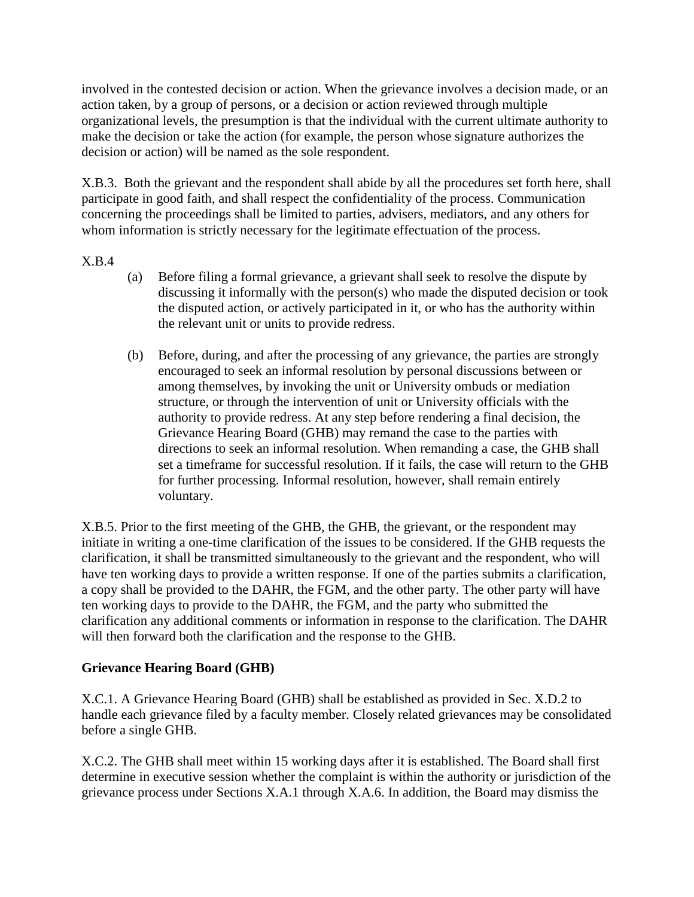involved in the contested decision or action. When the grievance involves a decision made, or an action taken, by a group of persons, or a decision or action reviewed through multiple organizational levels, the presumption is that the individual with the current ultimate authority to make the decision or take the action (for example, the person whose signature authorizes the decision or action) will be named as the sole respondent.

X.B.3. Both the grievant and the respondent shall abide by all the procedures set forth here, shall participate in good faith, and shall respect the confidentiality of the process. Communication concerning the proceedings shall be limited to parties, advisers, mediators, and any others for whom information is strictly necessary for the legitimate effectuation of the process.

X.B.4

- (a) Before filing a formal grievance, a grievant shall seek to resolve the dispute by discussing it informally with the person(s) who made the disputed decision or took the disputed action, or actively participated in it, or who has the authority within the relevant unit or units to provide redress.
- (b) Before, during, and after the processing of any grievance, the parties are strongly encouraged to seek an informal resolution by personal discussions between or among themselves, by invoking the unit or University ombuds or mediation structure, or through the intervention of unit or University officials with the authority to provide redress. At any step before rendering a final decision, the Grievance Hearing Board (GHB) may remand the case to the parties with directions to seek an informal resolution. When remanding a case, the GHB shall set a timeframe for successful resolution. If it fails, the case will return to the GHB for further processing. Informal resolution, however, shall remain entirely voluntary.

X.B.5. Prior to the first meeting of the GHB, the GHB, the grievant, or the respondent may initiate in writing a one-time clarification of the issues to be considered. If the GHB requests the clarification, it shall be transmitted simultaneously to the grievant and the respondent, who will have ten working days to provide a written response. If one of the parties submits a clarification, a copy shall be provided to the DAHR, the FGM, and the other party. The other party will have ten working days to provide to the DAHR, the FGM, and the party who submitted the clarification any additional comments or information in response to the clarification. The DAHR will then forward both the clarification and the response to the GHB.

## **Grievance Hearing Board (GHB)**

X.C.1. A Grievance Hearing Board (GHB) shall be established as provided in Sec. X.D.2 to handle each grievance filed by a faculty member. Closely related grievances may be consolidated before a single GHB.

X.C.2. The GHB shall meet within 15 working days after it is established. The Board shall first determine in executive session whether the complaint is within the authority or jurisdiction of the grievance process under Sections X.A.1 through X.A.6. In addition, the Board may dismiss the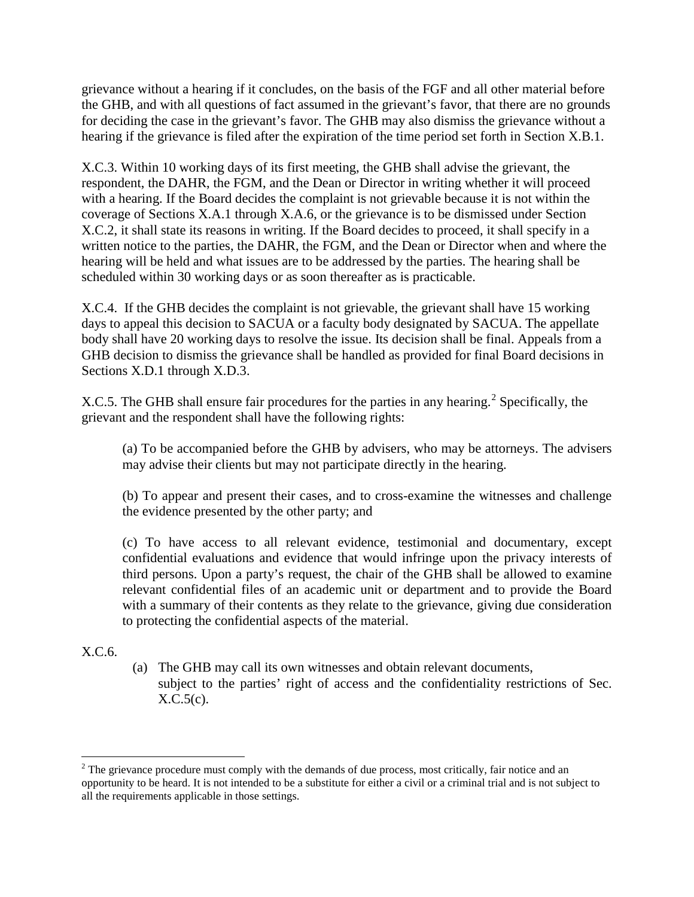grievance without a hearing if it concludes, on the basis of the FGF and all other material before the GHB, and with all questions of fact assumed in the grievant's favor, that there are no grounds for deciding the case in the grievant's favor. The GHB may also dismiss the grievance without a hearing if the grievance is filed after the expiration of the time period set forth in Section X.B.1.

X.C.3. Within 10 working days of its first meeting, the GHB shall advise the grievant, the respondent, the DAHR, the FGM, and the Dean or Director in writing whether it will proceed with a hearing. If the Board decides the complaint is not grievable because it is not within the coverage of Sections X.A.1 through X.A.6, or the grievance is to be dismissed under Section X.C.2, it shall state its reasons in writing. If the Board decides to proceed, it shall specify in a written notice to the parties, the DAHR, the FGM, and the Dean or Director when and where the hearing will be held and what issues are to be addressed by the parties. The hearing shall be scheduled within 30 working days or as soon thereafter as is practicable.

X.C.4. If the GHB decides the complaint is not grievable, the grievant shall have 15 working days to appeal this decision to SACUA or a faculty body designated by SACUA. The appellate body shall have 20 working days to resolve the issue. Its decision shall be final. Appeals from a GHB decision to dismiss the grievance shall be handled as provided for final Board decisions in Sections X.D.1 through X.D.3.

X.C.5. The GHB shall ensure fair procedures for the parties in any hearing.<sup>[2](#page-3-0)</sup> Specifically, the grievant and the respondent shall have the following rights:

(a) To be accompanied before the GHB by advisers, who may be attorneys. The advisers may advise their clients but may not participate directly in the hearing.

(b) To appear and present their cases, and to cross-examine the witnesses and challenge the evidence presented by the other party; and

(c) To have access to all relevant evidence, testimonial and documentary, except confidential evaluations and evidence that would infringe upon the privacy interests of third persons. Upon a party's request, the chair of the GHB shall be allowed to examine relevant confidential files of an academic unit or department and to provide the Board with a summary of their contents as they relate to the grievance, giving due consideration to protecting the confidential aspects of the material.

## X.C.6.

(a) The GHB may call its own witnesses and obtain relevant documents, subject to the parties' right of access and the confidentiality restrictions of Sec.  $X.C.5(c)$ .

<span id="page-3-0"></span><sup>&</sup>lt;sup>2</sup> The grievance procedure must comply with the demands of due process, most critically, fair notice and an opportunity to be heard. It is not intended to be a substitute for either a civil or a criminal trial and is not subject to all the requirements applicable in those settings.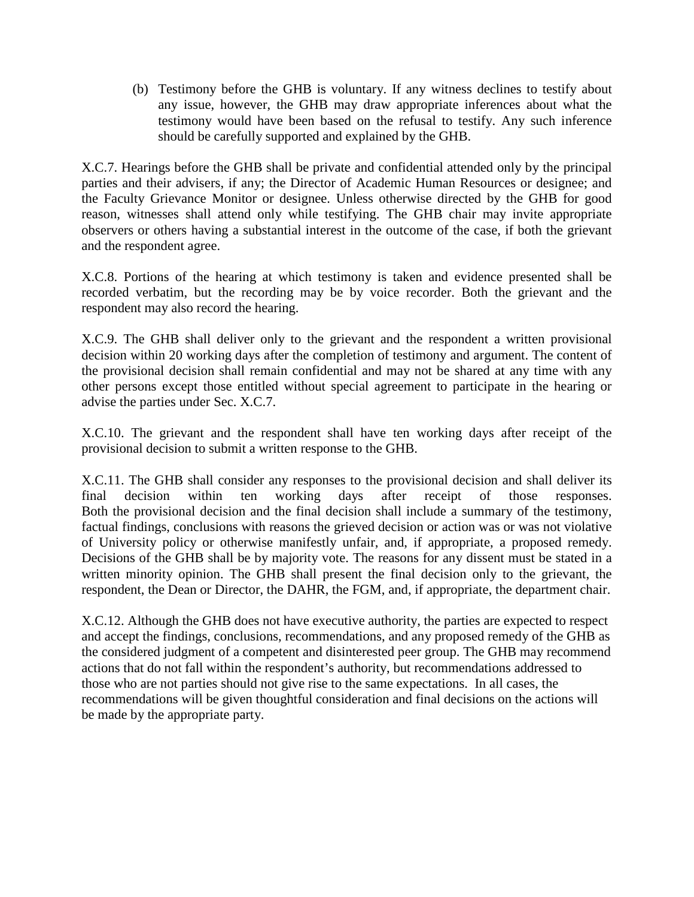(b) Testimony before the GHB is voluntary. If any witness declines to testify about any issue, however, the GHB may draw appropriate inferences about what the testimony would have been based on the refusal to testify. Any such inference should be carefully supported and explained by the GHB.

X.C.7. Hearings before the GHB shall be private and confidential attended only by the principal parties and their advisers, if any; the Director of Academic Human Resources or designee; and the Faculty Grievance Monitor or designee. Unless otherwise directed by the GHB for good reason, witnesses shall attend only while testifying. The GHB chair may invite appropriate observers or others having a substantial interest in the outcome of the case, if both the grievant and the respondent agree.

X.C.8. Portions of the hearing at which testimony is taken and evidence presented shall be recorded verbatim, but the recording may be by voice recorder. Both the grievant and the respondent may also record the hearing.

X.C.9. The GHB shall deliver only to the grievant and the respondent a written provisional decision within 20 working days after the completion of testimony and argument. The content of the provisional decision shall remain confidential and may not be shared at any time with any other persons except those entitled without special agreement to participate in the hearing or advise the parties under Sec. X.C.7.

X.C.10. The grievant and the respondent shall have ten working days after receipt of the provisional decision to submit a written response to the GHB.

X.C.11. The GHB shall consider any responses to the provisional decision and shall deliver its final decision within ten working days after receipt of those responses. Both the provisional decision and the final decision shall include a summary of the testimony, factual findings, conclusions with reasons the grieved decision or action was or was not violative of University policy or otherwise manifestly unfair, and, if appropriate, a proposed remedy. Decisions of the GHB shall be by majority vote. The reasons for any dissent must be stated in a written minority opinion. The GHB shall present the final decision only to the grievant, the respondent, the Dean or Director, the DAHR, the FGM, and, if appropriate, the department chair.

X.C.12. Although the GHB does not have executive authority, the parties are expected to respect and accept the findings, conclusions, recommendations, and any proposed remedy of the GHB as the considered judgment of a competent and disinterested peer group. The GHB may recommend actions that do not fall within the respondent's authority, but recommendations addressed to those who are not parties should not give rise to the same expectations. In all cases, the recommendations will be given thoughtful consideration and final decisions on the actions will be made by the appropriate party.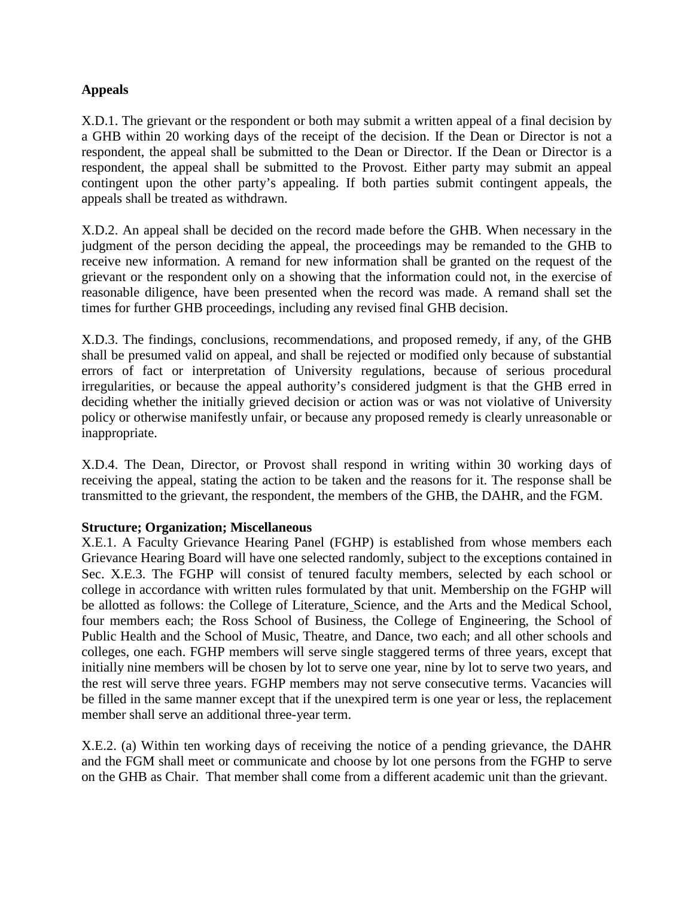### **Appeals**

X.D.1. The grievant or the respondent or both may submit a written appeal of a final decision by a GHB within 20 working days of the receipt of the decision. If the Dean or Director is not a respondent, the appeal shall be submitted to the Dean or Director. If the Dean or Director is a respondent, the appeal shall be submitted to the Provost. Either party may submit an appeal contingent upon the other party's appealing. If both parties submit contingent appeals, the appeals shall be treated as withdrawn.

X.D.2. An appeal shall be decided on the record made before the GHB. When necessary in the judgment of the person deciding the appeal, the proceedings may be remanded to the GHB to receive new information. A remand for new information shall be granted on the request of the grievant or the respondent only on a showing that the information could not, in the exercise of reasonable diligence, have been presented when the record was made. A remand shall set the times for further GHB proceedings, including any revised final GHB decision.

X.D.3. The findings, conclusions, recommendations, and proposed remedy, if any, of the GHB shall be presumed valid on appeal, and shall be rejected or modified only because of substantial errors of fact or interpretation of University regulations, because of serious procedural irregularities, or because the appeal authority's considered judgment is that the GHB erred in deciding whether the initially grieved decision or action was or was not violative of University policy or otherwise manifestly unfair, or because any proposed remedy is clearly unreasonable or inappropriate.

X.D.4. The Dean, Director, or Provost shall respond in writing within 30 working days of receiving the appeal, stating the action to be taken and the reasons for it. The response shall be transmitted to the grievant, the respondent, the members of the GHB, the DAHR, and the FGM.

#### **Structure; Organization; Miscellaneous**

X.E.1. A Faculty Grievance Hearing Panel (FGHP) is established from whose members each Grievance Hearing Board will have one selected randomly, subject to the exceptions contained in Sec. X.E.3. The FGHP will consist of tenured faculty members, selected by each school or college in accordance with written rules formulated by that unit. Membership on the FGHP will be allotted as follows: the College of Literature, Science, and the Arts and the Medical School, four members each; the Ross School of Business, the College of Engineering, the School of Public Health and the School of Music, Theatre, and Dance, two each; and all other schools and colleges, one each. FGHP members will serve single staggered terms of three years, except that initially nine members will be chosen by lot to serve one year, nine by lot to serve two years, and the rest will serve three years. FGHP members may not serve consecutive terms. Vacancies will be filled in the same manner except that if the unexpired term is one year or less, the replacement member shall serve an additional three-year term.

X.E.2. (a) Within ten working days of receiving the notice of a pending grievance, the DAHR and the FGM shall meet or communicate and choose by lot one persons from the FGHP to serve on the GHB as Chair. That member shall come from a different academic unit than the grievant.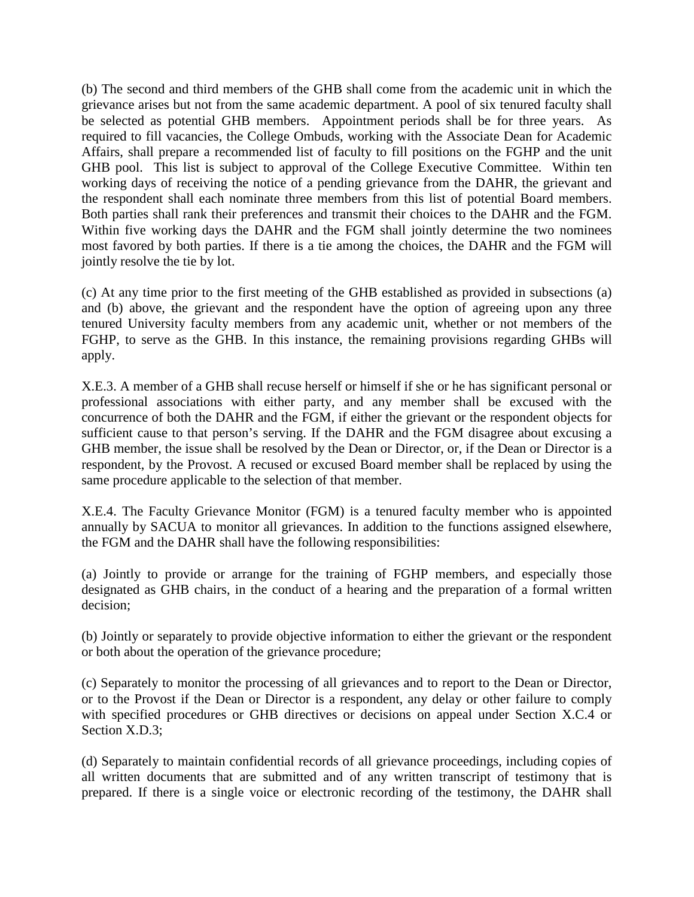(b) The second and third members of the GHB shall come from the academic unit in which the grievance arises but not from the same academic department. A pool of six tenured faculty shall be selected as potential GHB members. Appointment periods shall be for three years. As required to fill vacancies, the College Ombuds, working with the Associate Dean for Academic Affairs, shall prepare a recommended list of faculty to fill positions on the FGHP and the unit GHB pool. This list is subject to approval of the College Executive Committee. Within ten working days of receiving the notice of a pending grievance from the DAHR, the grievant and the respondent shall each nominate three members from this list of potential Board members. Both parties shall rank their preferences and transmit their choices to the DAHR and the FGM. Within five working days the DAHR and the FGM shall jointly determine the two nominees most favored by both parties. If there is a tie among the choices, the DAHR and the FGM will jointly resolve the tie by lot.

(c) At any time prior to the first meeting of the GHB established as provided in subsections (a) and (b) above, the grievant and the respondent have the option of agreeing upon any three tenured University faculty members from any academic unit, whether or not members of the FGHP, to serve as the GHB. In this instance, the remaining provisions regarding GHBs will apply.

X.E.3. A member of a GHB shall recuse herself or himself if she or he has significant personal or professional associations with either party, and any member shall be excused with the concurrence of both the DAHR and the FGM, if either the grievant or the respondent objects for sufficient cause to that person's serving. If the DAHR and the FGM disagree about excusing a GHB member, the issue shall be resolved by the Dean or Director, or, if the Dean or Director is a respondent, by the Provost. A recused or excused Board member shall be replaced by using the same procedure applicable to the selection of that member.

X.E.4. The Faculty Grievance Monitor (FGM) is a tenured faculty member who is appointed annually by SACUA to monitor all grievances. In addition to the functions assigned elsewhere, the FGM and the DAHR shall have the following responsibilities:

(a) Jointly to provide or arrange for the training of FGHP members, and especially those designated as GHB chairs, in the conduct of a hearing and the preparation of a formal written decision;

(b) Jointly or separately to provide objective information to either the grievant or the respondent or both about the operation of the grievance procedure;

(c) Separately to monitor the processing of all grievances and to report to the Dean or Director, or to the Provost if the Dean or Director is a respondent, any delay or other failure to comply with specified procedures or GHB directives or decisions on appeal under Section X.C.4 or Section X.D.3:

(d) Separately to maintain confidential records of all grievance proceedings, including copies of all written documents that are submitted and of any written transcript of testimony that is prepared. If there is a single voice or electronic recording of the testimony, the DAHR shall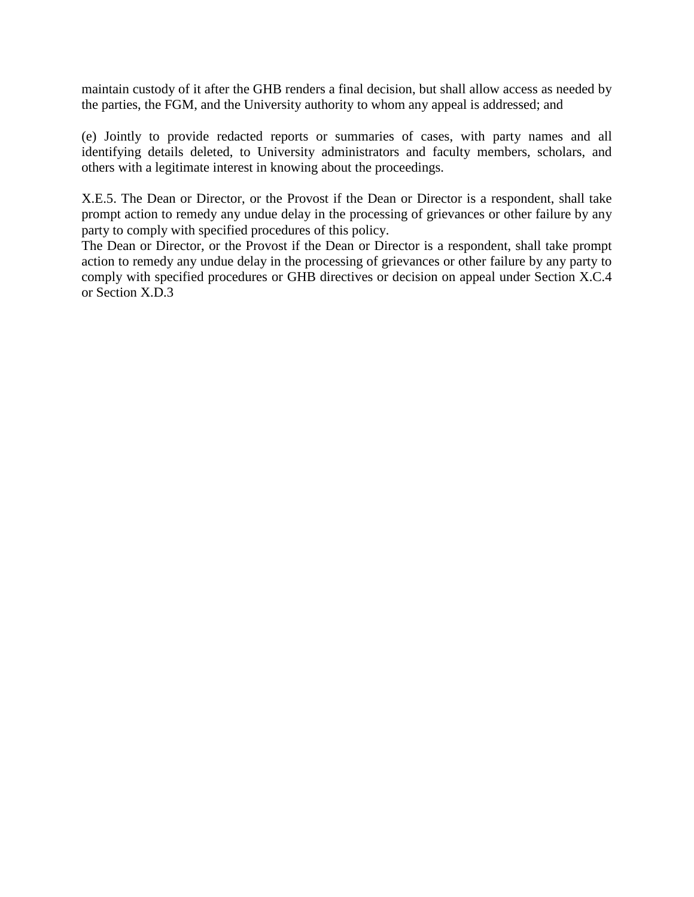maintain custody of it after the GHB renders a final decision, but shall allow access as needed by the parties, the FGM, and the University authority to whom any appeal is addressed; and

(e) Jointly to provide redacted reports or summaries of cases, with party names and all identifying details deleted, to University administrators and faculty members, scholars, and others with a legitimate interest in knowing about the proceedings.

X.E.5. The Dean or Director, or the Provost if the Dean or Director is a respondent, shall take prompt action to remedy any undue delay in the processing of grievances or other failure by any party to comply with specified procedures of this policy.

The Dean or Director, or the Provost if the Dean or Director is a respondent, shall take prompt action to remedy any undue delay in the processing of grievances or other failure by any party to comply with specified procedures or GHB directives or decision on appeal under Section X.C.4 or Section X.D.3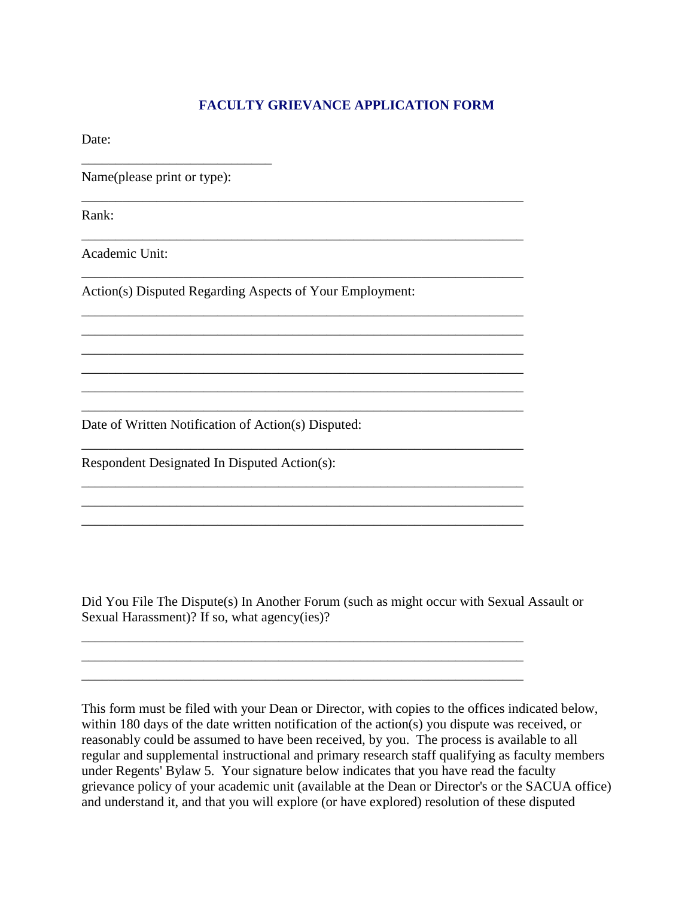## **FACULTY GRIEVANCE APPLICATION FORM**

\_\_\_\_\_\_\_\_\_\_\_\_\_\_\_\_\_\_\_\_\_\_\_\_\_\_\_\_\_\_\_\_\_\_\_\_\_\_\_\_\_\_\_\_\_\_\_\_\_\_\_\_\_\_\_\_\_\_\_\_\_\_\_\_\_

\_\_\_\_\_\_\_\_\_\_\_\_\_\_\_\_\_\_\_\_\_\_\_\_\_\_\_\_\_\_\_\_\_\_\_\_\_\_\_\_\_\_\_\_\_\_\_\_\_\_\_\_\_\_\_\_\_\_\_\_\_\_\_\_\_

\_\_\_\_\_\_\_\_\_\_\_\_\_\_\_\_\_\_\_\_\_\_\_\_\_\_\_\_\_\_\_\_\_\_\_\_\_\_\_\_\_\_\_\_\_\_\_\_\_\_\_\_\_\_\_\_\_\_\_\_\_\_\_\_\_

\_\_\_\_\_\_\_\_\_\_\_\_\_\_\_\_\_\_\_\_\_\_\_\_\_\_\_\_\_\_\_\_\_\_\_\_\_\_\_\_\_\_\_\_\_\_\_\_\_\_\_\_\_\_\_\_\_\_\_\_\_\_\_\_\_ \_\_\_\_\_\_\_\_\_\_\_\_\_\_\_\_\_\_\_\_\_\_\_\_\_\_\_\_\_\_\_\_\_\_\_\_\_\_\_\_\_\_\_\_\_\_\_\_\_\_\_\_\_\_\_\_\_\_\_\_\_\_\_\_\_ \_\_\_\_\_\_\_\_\_\_\_\_\_\_\_\_\_\_\_\_\_\_\_\_\_\_\_\_\_\_\_\_\_\_\_\_\_\_\_\_\_\_\_\_\_\_\_\_\_\_\_\_\_\_\_\_\_\_\_\_\_\_\_\_\_ \_\_\_\_\_\_\_\_\_\_\_\_\_\_\_\_\_\_\_\_\_\_\_\_\_\_\_\_\_\_\_\_\_\_\_\_\_\_\_\_\_\_\_\_\_\_\_\_\_\_\_\_\_\_\_\_\_\_\_\_\_\_\_\_\_ \_\_\_\_\_\_\_\_\_\_\_\_\_\_\_\_\_\_\_\_\_\_\_\_\_\_\_\_\_\_\_\_\_\_\_\_\_\_\_\_\_\_\_\_\_\_\_\_\_\_\_\_\_\_\_\_\_\_\_\_\_\_\_\_\_ \_\_\_\_\_\_\_\_\_\_\_\_\_\_\_\_\_\_\_\_\_\_\_\_\_\_\_\_\_\_\_\_\_\_\_\_\_\_\_\_\_\_\_\_\_\_\_\_\_\_\_\_\_\_\_\_\_\_\_\_\_\_\_\_\_

\_\_\_\_\_\_\_\_\_\_\_\_\_\_\_\_\_\_\_\_\_\_\_\_\_\_\_\_\_\_\_\_\_\_\_\_\_\_\_\_\_\_\_\_\_\_\_\_\_\_\_\_\_\_\_\_\_\_\_\_\_\_\_\_\_

\_\_\_\_\_\_\_\_\_\_\_\_\_\_\_\_\_\_\_\_\_\_\_\_\_\_\_\_\_\_\_\_\_\_\_\_\_\_\_\_\_\_\_\_\_\_\_\_\_\_\_\_\_\_\_\_\_\_\_\_\_\_\_\_\_ \_\_\_\_\_\_\_\_\_\_\_\_\_\_\_\_\_\_\_\_\_\_\_\_\_\_\_\_\_\_\_\_\_\_\_\_\_\_\_\_\_\_\_\_\_\_\_\_\_\_\_\_\_\_\_\_\_\_\_\_\_\_\_\_\_ \_\_\_\_\_\_\_\_\_\_\_\_\_\_\_\_\_\_\_\_\_\_\_\_\_\_\_\_\_\_\_\_\_\_\_\_\_\_\_\_\_\_\_\_\_\_\_\_\_\_\_\_\_\_\_\_\_\_\_\_\_\_\_\_\_

\_\_\_\_\_\_\_\_\_\_\_\_\_\_\_\_\_\_\_\_\_\_\_\_\_\_\_\_\_\_\_\_\_\_\_\_\_\_\_\_\_\_\_\_\_\_\_\_\_\_\_\_\_\_\_\_\_\_\_\_\_\_\_\_\_ \_\_\_\_\_\_\_\_\_\_\_\_\_\_\_\_\_\_\_\_\_\_\_\_\_\_\_\_\_\_\_\_\_\_\_\_\_\_\_\_\_\_\_\_\_\_\_\_\_\_\_\_\_\_\_\_\_\_\_\_\_\_\_\_\_ \_\_\_\_\_\_\_\_\_\_\_\_\_\_\_\_\_\_\_\_\_\_\_\_\_\_\_\_\_\_\_\_\_\_\_\_\_\_\_\_\_\_\_\_\_\_\_\_\_\_\_\_\_\_\_\_\_\_\_\_\_\_\_\_\_

Date:

Name(please print or type):

\_\_\_\_\_\_\_\_\_\_\_\_\_\_\_\_\_\_\_\_\_\_\_\_\_\_\_\_

Rank:

Academic Unit:

Action(s) Disputed Regarding Aspects of Your Employment:

Date of Written Notification of Action(s) Disputed:

Respondent Designated In Disputed Action(s):

Did You File The Dispute(s) In Another Forum (such as might occur with Sexual Assault or Sexual Harassment)? If so, what agency(ies)?

This form must be filed with your Dean or Director, with copies to the offices indicated below, within 180 days of the date written notification of the action(s) you dispute was received, or reasonably could be assumed to have been received, by you. The process is available to all regular and supplemental instructional and primary research staff qualifying as faculty members under Regents' Bylaw 5. Your signature below indicates that you have read the faculty grievance policy of your academic unit (available at the Dean or Director's or the SACUA office) and understand it, and that you will explore (or have explored) resolution of these disputed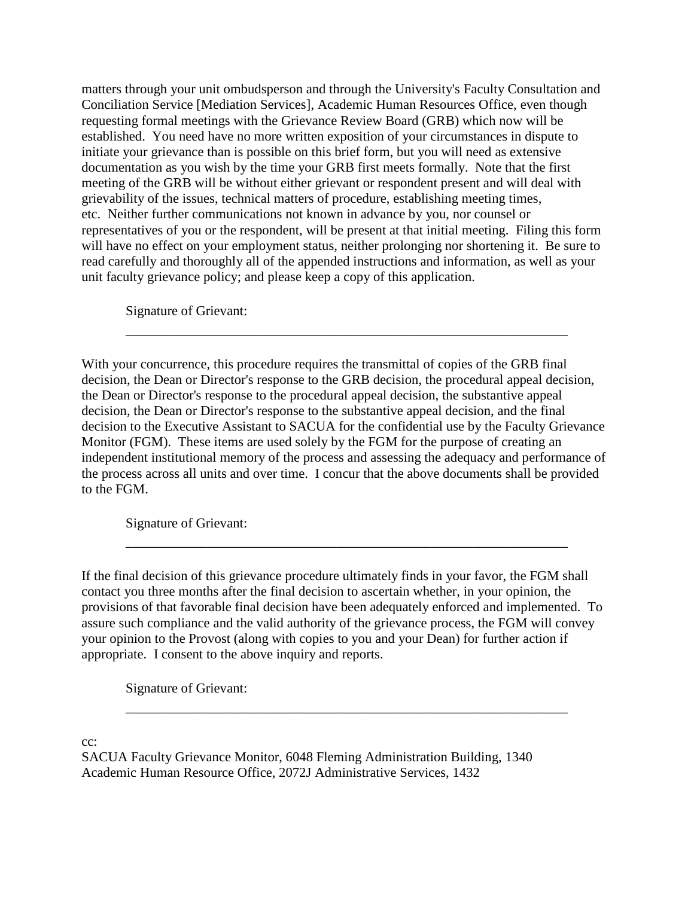matters through your unit ombudsperson and through the University's Faculty Consultation and Conciliation Service [Mediation Services], Academic Human Resources Office, even though requesting formal meetings with the Grievance Review Board (GRB) which now will be established. You need have no more written exposition of your circumstances in dispute to initiate your grievance than is possible on this brief form, but you will need as extensive documentation as you wish by the time your GRB first meets formally. Note that the first meeting of the GRB will be without either grievant or respondent present and will deal with grievability of the issues, technical matters of procedure, establishing meeting times, etc. Neither further communications not known in advance by you, nor counsel or representatives of you or the respondent, will be present at that initial meeting. Filing this form will have no effect on your employment status, neither prolonging nor shortening it. Be sure to read carefully and thoroughly all of the appended instructions and information, as well as your unit faculty grievance policy; and please keep a copy of this application.

Signature of Grievant:

With your concurrence, this procedure requires the transmittal of copies of the GRB final decision, the Dean or Director's response to the GRB decision, the procedural appeal decision, the Dean or Director's response to the procedural appeal decision, the substantive appeal decision, the Dean or Director's response to the substantive appeal decision, and the final decision to the Executive Assistant to SACUA for the confidential use by the Faculty Grievance Monitor (FGM). These items are used solely by the FGM for the purpose of creating an independent institutional memory of the process and assessing the adequacy and performance of the process across all units and over time. I concur that the above documents shall be provided to the FGM.

\_\_\_\_\_\_\_\_\_\_\_\_\_\_\_\_\_\_\_\_\_\_\_\_\_\_\_\_\_\_\_\_\_\_\_\_\_\_\_\_\_\_\_\_\_\_\_\_\_\_\_\_\_\_\_\_\_\_\_\_\_\_\_\_\_

Signature of Grievant:

If the final decision of this grievance procedure ultimately finds in your favor, the FGM shall contact you three months after the final decision to ascertain whether, in your opinion, the provisions of that favorable final decision have been adequately enforced and implemented. To assure such compliance and the valid authority of the grievance process, the FGM will convey your opinion to the Provost (along with copies to you and your Dean) for further action if appropriate. I consent to the above inquiry and reports.

\_\_\_\_\_\_\_\_\_\_\_\_\_\_\_\_\_\_\_\_\_\_\_\_\_\_\_\_\_\_\_\_\_\_\_\_\_\_\_\_\_\_\_\_\_\_\_\_\_\_\_\_\_\_\_\_\_\_\_\_\_\_\_\_\_

\_\_\_\_\_\_\_\_\_\_\_\_\_\_\_\_\_\_\_\_\_\_\_\_\_\_\_\_\_\_\_\_\_\_\_\_\_\_\_\_\_\_\_\_\_\_\_\_\_\_\_\_\_\_\_\_\_\_\_\_\_\_\_\_\_

Signature of Grievant:

cc:

SACUA Faculty Grievance Monitor, 6048 Fleming Administration Building, 1340 Academic Human Resource Office, 2072J Administrative Services, 1432